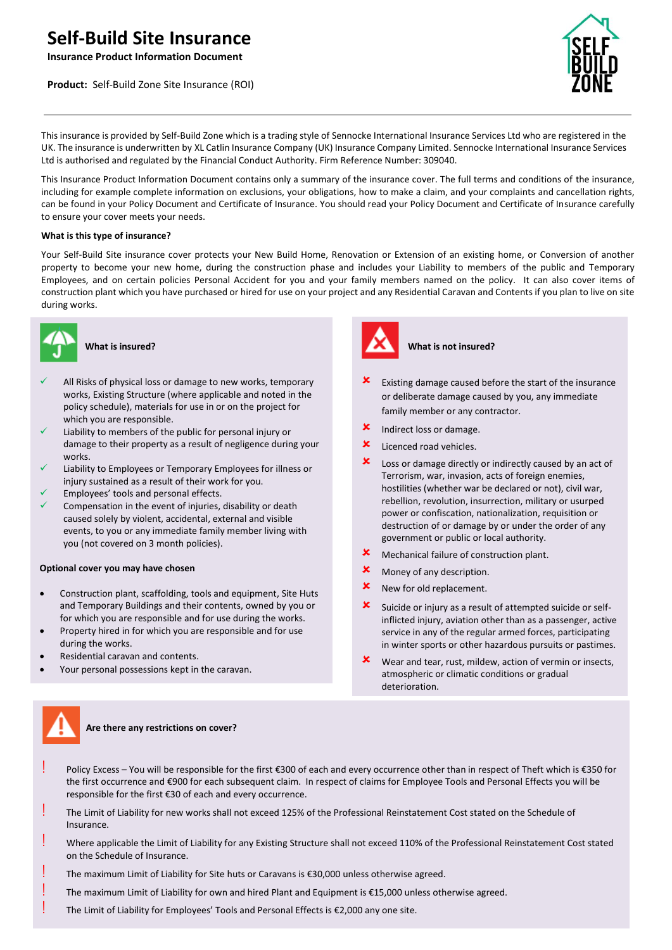# **Self-Build Site Insurance**

**Insurance Product Information Document**

**Product:** Self-Build Zone Site Insurance (ROI)



anding

This insurance is provided by Self-Build Zone which is a trading style of Sennocke International Insurance Services Ltd who are registered in the UK. The insurance is underwritten by XL Catlin Insurance Company (UK) Insurance Company Limited. Sennocke International Insurance Services Ltd is authorised and regulated by the Financial Conduct Authority. Firm Reference Number: 309040.

This Insurance Product Information Document contains only a summary of the insurance cover. The full terms and conditions of the insurance, including for example complete information on exclusions, your obligations, how to make a claim, and your complaints and cancellation rights, can be found in your Policy Document and Certificate of Insurance. You should read your Policy Document and Certificate of Insurance carefully to ensure your cover meets your needs.

## **What is this type of insurance?**

Your Self-Build Site insurance cover protects your New Build Home, Renovation or Extension of an existing home, or Conversion of another property to become your new home, during the construction phase and includes your Liability to members of the public and Temporary Employees, and on certain policies Personal Accident for you and your family members named on the policy. It can also cover items of construction plant which you have purchased or hired for use on your project and any Residential Caravan and Contents if you plan to live on site during works.



## **What is insured?**

- All Risks of physical loss or damage to new works, temporary works, Existing Structure (where applicable and noted in the policy schedule), materials for use in or on the project for which you are responsible.
- Liability to members of the public for personal injury or damage to their property as a result of negligence during your works.
- Liability to Employees or Temporary Employees for illness or injury sustained as a result of their work for you.
- Employees' tools and personal effects.
- Compensation in the event of injuries, disability or death caused solely by violent, accidental, external and visible events, to you or any immediate family member living with you (not covered on 3 month policies).

### **Optional cover you may have chosen**

- Construction plant, scaffolding, tools and equipment, Site Huts and Temporary Buildings and their contents, owned by you or for which you are responsible and for use during the works.
- Property hired in for which you are responsible and for use during the works.
- Residential caravan and contents.
- Your personal possessions kept in the caravan.



# **What is not insured?**

- Existing damage caused before the start of the insurance or deliberate damage caused by you, any immediate family member or any contractor.
- Indirect loss or damage.
- **X** Licenced road vehicles.
- Loss or damage directly or indirectly caused by an act of Terrorism, war, invasion, acts of foreign enemies, hostilities (whether war be declared or not), civil war, rebellion, revolution, insurrection, military or usurped power or confiscation, nationalization, requisition or destruction of or damage by or under the order of any government or public or local authority.
- Mechanical failure of construction plant.
- Money of any description.
- **X** New for old replacement.
- $\boldsymbol{\times}$  Suicide or injury as a result of attempted suicide or selfinflicted injury, aviation other than as a passenger, active service in any of the regular armed forces, participating in winter sports or other hazardous pursuits or pastimes.
- $x$  Wear and tear, rust, mildew, action of vermin or insects, atmospheric or climatic conditions or gradual deterioration.



## **Are there any restrictions on cover?**

- Policy Excess You will be responsible for the first €300 of each and every occurrence other than in respect of Theft which is €350 for the first occurrence and €900 for each subsequent claim. In respect of claims for Employee Tools and Personal Effects you will be responsible for the first €30 of each and every occurrence.
- The Limit of Liability for new works shall not exceed 125% of the Professional Reinstatement Cost stated on the Schedule of Insurance.
- ! Where applicable the Limit of Liability for any Existing Structure shall not exceed 110% of the Professional Reinstatement Cost stated on the Schedule of Insurance.
- The maximum Limit of Liability for Site huts or Caravans is €30,000 unless otherwise agreed.
- The maximum Limit of Liability for own and hired Plant and Equipment is €15,000 unless otherwise agreed.
- The Limit of Liability for Employees' Tools and Personal Effects is €2,000 any one site.